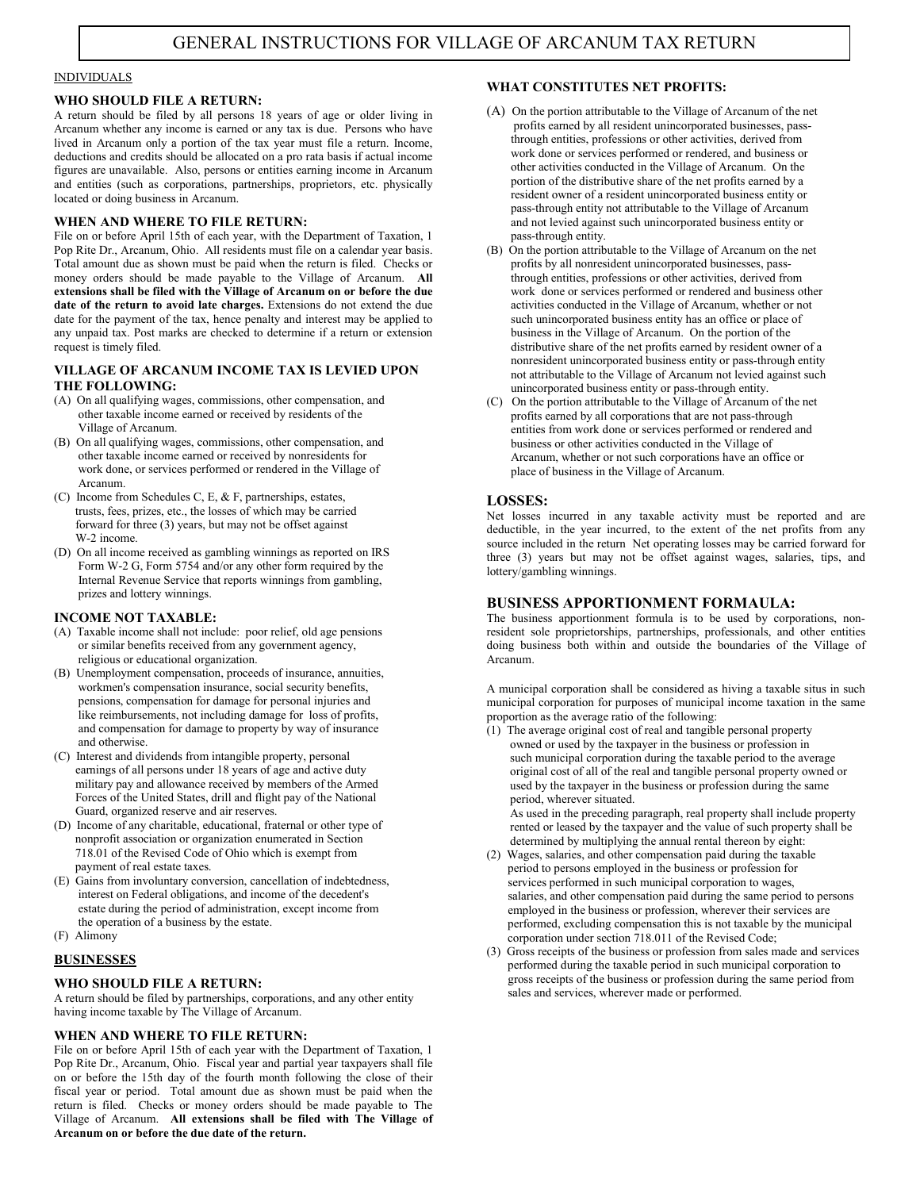# **INDIVIDUALS**

#### WHO SHOULD FILE A RETURN:

A return should be filed by all persons 18 years of age or older living in Arcanum whether any income is earned or any tax is due. Persons who have lived in Arcanum only a portion of the tax year must file a return. Income, deductions and credits should be allocated on a pro rata basis if actual income figures are unavailable. Also, persons or entities earning income in Arcanum and entities (such as corporations, partnerships, proprietors, etc. physically located or doing business in Arcanum.

#### WHEN AND WHERE TO FILE RETURN:

File on or before April 15th of each year, with the Department of Taxation, 1 Pop Rite Dr., Arcanum, Ohio. All residents must file on a calendar year basis. Total amount due as shown must be paid when the return is filed. Checks or money orders should be made payable to the Village of Arcanum. All extensions shall be filed with the Village of Arcanum on or before the due date of the return to avoid late charges. Extensions do not extend the due date for the payment of the tax, hence penalty and interest may be applied to any unpaid tax. Post marks are checked to determine if a return or extension request is timely filed.

#### VILLAGE OF ARCANUM INCOME TAX IS LEVIED UPON THE FOLLOWING:

- (A) On all qualifying wages, commissions, other compensation, and other taxable income earned or received by residents of the Village of Arcanum.
- (B) On all qualifying wages, commissions, other compensation, and other taxable income earned or received by nonresidents for work done, or services performed or rendered in the Village of Arcanum.
- (C) Income from Schedules C, E, & F, partnerships, estates, trusts, fees, prizes, etc., the losses of which may be carried forward for three (3) years, but may not be offset against W-2 income.
- (D) On all income received as gambling winnings as reported on IRS Form W-2 G, Form 5754 and/or any other form required by the Internal Revenue Service that reports winnings from gambling, prizes and lottery winnings.

#### INCOME NOT TAXABLE:

- (A) Taxable income shall not include: poor relief, old age pensions or similar benefits received from any government agency, religious or educational organization.
- (B) Unemployment compensation, proceeds of insurance, annuities, workmen's compensation insurance, social security benefits, pensions, compensation for damage for personal injuries and like reimbursements, not including damage for loss of profits, and compensation for damage to property by way of insurance and otherwise.
- (C) Interest and dividends from intangible property, personal earnings of all persons under 18 years of age and active duty military pay and allowance received by members of the Armed Forces of the United States, drill and flight pay of the National Guard, organized reserve and air reserves.
- (D) Income of any charitable, educational, fraternal or other type of nonprofit association or organization enumerated in Section 718.01 of the Revised Code of Ohio which is exempt from payment of real estate taxes.
- (E) Gains from involuntary conversion, cancellation of indebtedness, interest on Federal obligations, and income of the decedent's estate during the period of administration, except income from the operation of a business by the estate.
- (F) Alimony

### BUSINESSES

### WHO SHOULD FILE A RETURN:

A return should be filed by partnerships, corporations, and any other entity having income taxable by The Village of Arcanum.

### WHEN AND WHERE TO FILE RETURN:

File on or before April 15th of each year with the Department of Taxation, 1 Pop Rite Dr., Arcanum, Ohio. Fiscal year and partial year taxpayers shall file on or before the 15th day of the fourth month following the close of their fiscal year or period. Total amount due as shown must be paid when the return is filed. Checks or money orders should be made payable to The Village of Arcanum. All extensions shall be filed with The Village of Arcanum on or before the due date of the return.

### WHAT CONSTITUTES NET PROFITS:

- (A) On the portion attributable to the Village of Arcanum of the net profits earned by all resident unincorporated businesses, pass through entities, professions or other activities, derived from work done or services performed or rendered, and business or other activities conducted in the Village of Arcanum. On the portion of the distributive share of the net profits earned by a resident owner of a resident unincorporated business entity or pass-through entity not attributable to the Village of Arcanum and not levied against such unincorporated business entity or pass-through entity.
- (B) On the portion attributable to the Village of Arcanum on the net profits by all nonresident unincorporated businesses, pass through entities, professions or other activities, derived from work done or services performed or rendered and business other activities conducted in the Village of Arcanum, whether or not such unincorporated business entity has an office or place of business in the Village of Arcanum. On the portion of the distributive share of the net profits earned by resident owner of a nonresident unincorporated business entity or pass-through entity not attributable to the Village of Arcanum not levied against such unincorporated business entity or pass-through entity.
- (C) On the portion attributable to the Village of Arcanum of the net profits earned by all corporations that are not pass-through entities from work done or services performed or rendered and business or other activities conducted in the Village of Arcanum, whether or not such corporations have an office or place of business in the Village of Arcanum.

### LOSSES:

Net losses incurred in any taxable activity must be reported and are deductible, in the year incurred, to the extent of the net profits from any source included in the return Net operating losses may be carried forward for three (3) years but may not be offset against wages, salaries, tips, and lottery/gambling winnings.

## BUSINESS APPORTIONMENT FORMAULA:

The business apportionment formula is to be used by corporations, nonresident sole proprietorships, partnerships, professionals, and other entities doing business both within and outside the boundaries of the Village of Arcanum.

A municipal corporation shall be considered as hiving a taxable situs in such municipal corporation for purposes of municipal income taxation in the same proportion as the average ratio of the following:

(1) The average original cost of real and tangible personal property owned or used by the taxpayer in the business or profession in such municipal corporation during the taxable period to the average original cost of all of the real and tangible personal property owned or used by the taxpayer in the business or profession during the same period, wherever situated.

As used in the preceding paragraph, real property shall include property rented or leased by the taxpayer and the value of such property shall be determined by multiplying the annual rental thereon by eight:

- (2) Wages, salaries, and other compensation paid during the taxable period to persons employed in the business or profession for services performed in such municipal corporation to wages, salaries, and other compensation paid during the same period to persons employed in the business or profession, wherever their services are performed, excluding compensation this is not taxable by the municipal corporation under section 718.011 of the Revised Code;
- (3) Gross receipts of the business or profession from sales made and services performed during the taxable period in such municipal corporation to gross receipts of the business or profession during the same period from sales and services, wherever made or performed.